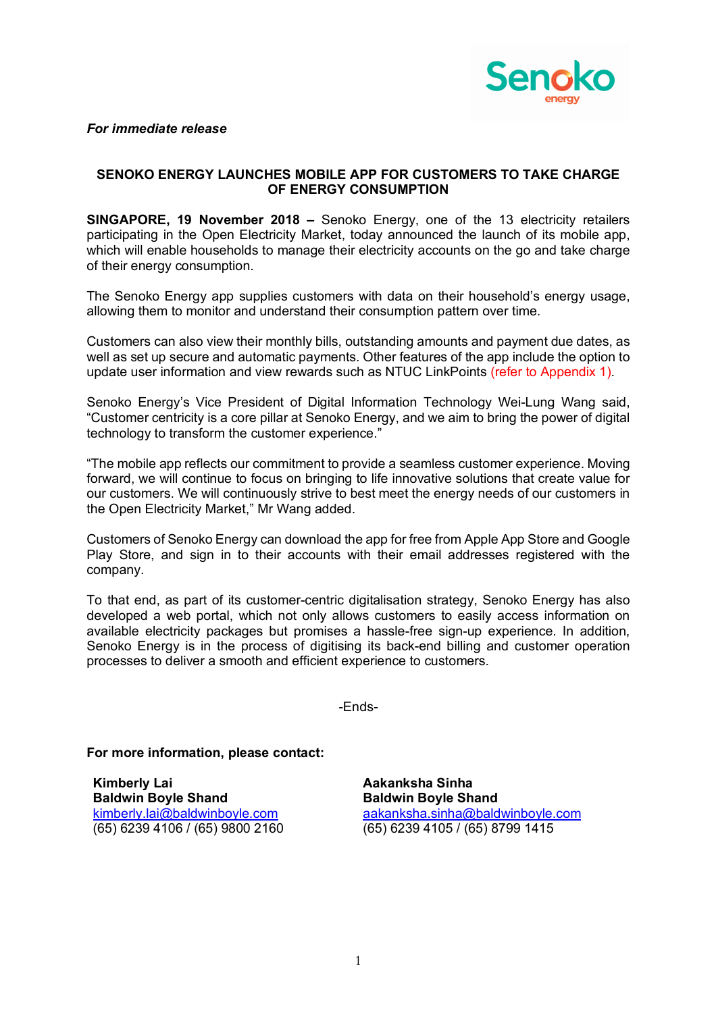

*For immediate release*

## **SENOKO ENERGY LAUNCHES MOBILE APP FOR CUSTOMERS TO TAKE CHARGE OF ENERGY CONSUMPTION**

**SINGAPORE, 19 November 2018 –** Senoko Energy, one of the 13 electricity retailers participating in the Open Electricity Market, today announced the launch of its mobile app, which will enable households to manage their electricity accounts on the go and take charge of their energy consumption.

The Senoko Energy app supplies customers with data on their household's energy usage, allowing them to monitor and understand their consumption pattern over time.

Customers can also view their monthly bills, outstanding amounts and payment due dates, as well as set up secure and automatic payments. Other features of the app include the option to update user information and view rewards such as NTUC LinkPoints (refer to Appendix 1).

Senoko Energy's Vice President of Digital Information Technology Wei-Lung Wang said, "Customer centricity is a core pillar at Senoko Energy, and we aim to bring the power of digital technology to transform the customer experience."

"The mobile app reflects our commitment to provide a seamless customer experience. Moving forward, we will continue to focus on bringing to life innovative solutions that create value for our customers. We will continuously strive to best meet the energy needs of our customers in the Open Electricity Market," Mr Wang added.

Customers of Senoko Energy can download the app for free from Apple App Store and Google Play Store, and sign in to their accounts with their email addresses registered with the company.

To that end, as part of its customer-centric digitalisation strategy, Senoko Energy has also developed a web portal, which not only allows customers to easily access information on available electricity packages but promises a hassle-free sign-up experience. In addition, Senoko Energy is in the process of digitising its back-end billing and customer operation processes to deliver a smooth and efficient experience to customers.

-Ends-

**For more information, please contact:**

**Kimberly Lai Baldwin Boyle Shand** kimberly.lai@baldwinboyle.com (65) 6239 4106 / (65) 9800 2160

**Aakanksha Sinha Baldwin Boyle Shand** aakanksha.sinha@baldwinboyle.com (65) 6239 4105 / (65) 8799 1415